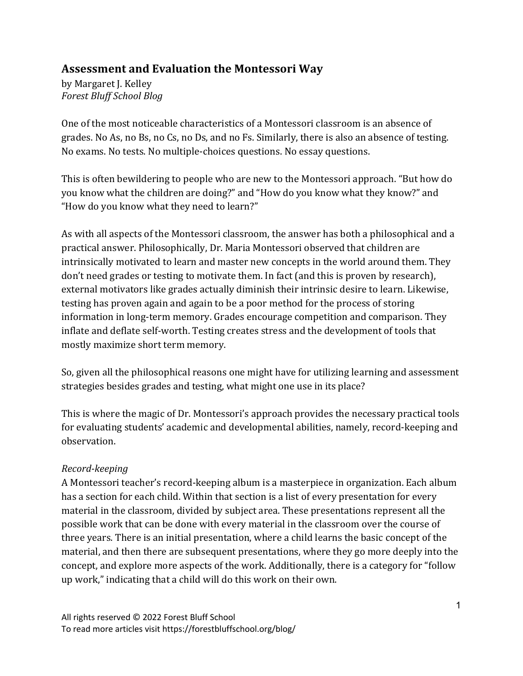## **Assessment and Evaluation the Montessori Way**

by Margaret J. Kelley *Forest Bluff School Blog*

One of the most noticeable characteristics of a Montessori classroom is an absence of grades. No As, no Bs, no Cs, no Ds, and no Fs. Similarly, there is also an absence of testing. No exams. No tests. No multiple-choices questions. No essay questions.

This is often bewildering to people who are new to the Montessori approach. "But how do you know what the children are doing?" and "How do you know what they know?" and "How do you know what they need to learn?"

As with all aspects of the Montessori classroom, the answer has both a philosophical and a practical answer. Philosophically, Dr. Maria Montessori observed that children are intrinsically motivated to learn and master new concepts in the world around them. They don't need grades or testing to motivate them. In fact (and this is proven by research), external motivators like grades actually diminish their intrinsic desire to learn. Likewise, testing has proven again and again to be a poor method for the process of storing information in long-term memory. Grades encourage competition and comparison. They inflate and deflate self-worth. Testing creates stress and the development of tools that mostly maximize short term memory.

So, given all the philosophical reasons one might have for utilizing learning and assessment strategies besides grades and testing, what might one use in its place?

This is where the magic of Dr. Montessori's approach provides the necessary practical tools for evaluating students' academic and developmental abilities, namely, record-keeping and observation. 

## *Record-keeping*

A Montessori teacher's record-keeping album is a masterpiece in organization. Each album has a section for each child. Within that section is a list of every presentation for every material in the classroom, divided by subject area. These presentations represent all the possible work that can be done with every material in the classroom over the course of three years. There is an initial presentation, where a child learns the basic concept of the material, and then there are subsequent presentations, where they go more deeply into the concept, and explore more aspects of the work. Additionally, there is a category for "follow up work," indicating that a child will do this work on their own.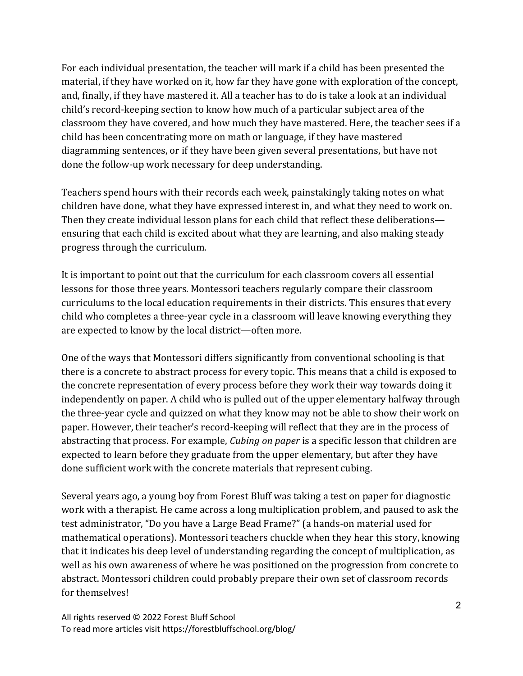For each individual presentation, the teacher will mark if a child has been presented the material, if they have worked on it, how far they have gone with exploration of the concept, and, finally, if they have mastered it. All a teacher has to do is take a look at an individual child's record-keeping section to know how much of a particular subject area of the classroom they have covered, and how much they have mastered. Here, the teacher sees if a child has been concentrating more on math or language, if they have mastered diagramming sentences, or if they have been given several presentations, but have not done the follow-up work necessary for deep understanding.

Teachers spend hours with their records each week, painstakingly taking notes on what children have done, what they have expressed interest in, and what they need to work on. Then they create individual lesson plans for each child that reflect these deliberations ensuring that each child is excited about what they are learning, and also making steady progress through the curriculum.

It is important to point out that the curriculum for each classroom covers all essential lessons for those three years. Montessori teachers regularly compare their classroom curriculums to the local education requirements in their districts. This ensures that every child who completes a three-year cycle in a classroom will leave knowing everything they are expected to know by the local district—often more.

One of the ways that Montessori differs significantly from conventional schooling is that there is a concrete to abstract process for every topic. This means that a child is exposed to the concrete representation of every process before they work their way towards doing it independently on paper. A child who is pulled out of the upper elementary halfway through the three-year cycle and quizzed on what they know may not be able to show their work on paper. However, their teacher's record-keeping will reflect that they are in the process of abstracting that process. For example, *Cubing on paper* is a specific lesson that children are expected to learn before they graduate from the upper elementary, but after they have done sufficient work with the concrete materials that represent cubing.

Several years ago, a young boy from Forest Bluff was taking a test on paper for diagnostic work with a therapist. He came across a long multiplication problem, and paused to ask the test administrator, "Do you have a Large Bead Frame?" (a hands-on material used for mathematical operations). Montessori teachers chuckle when they hear this story, knowing that it indicates his deep level of understanding regarding the concept of multiplication, as well as his own awareness of where he was positioned on the progression from concrete to abstract. Montessori children could probably prepare their own set of classroom records for themselves!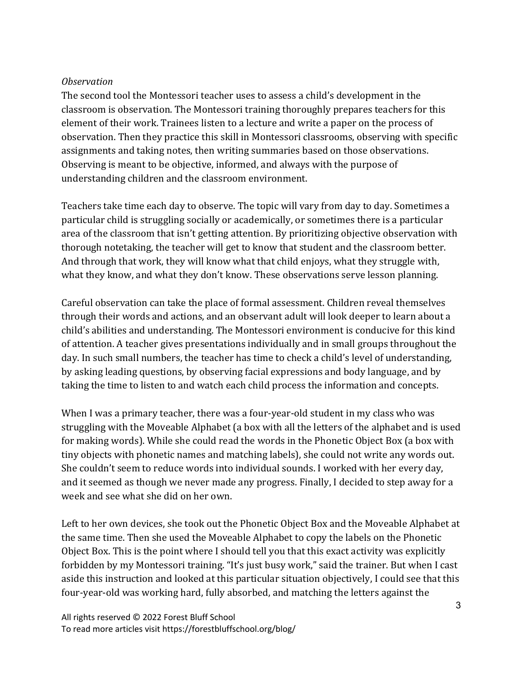## *Observation*

The second tool the Montessori teacher uses to assess a child's development in the classroom is observation. The Montessori training thoroughly prepares teachers for this element of their work. Trainees listen to a lecture and write a paper on the process of observation. Then they practice this skill in Montessori classrooms, observing with specific assignments and taking notes, then writing summaries based on those observations. Observing is meant to be objective, informed, and always with the purpose of understanding children and the classroom environment.

Teachers take time each day to observe. The topic will vary from day to day. Sometimes a particular child is struggling socially or academically, or sometimes there is a particular area of the classroom that isn't getting attention. By prioritizing objective observation with thorough notetaking, the teacher will get to know that student and the classroom better. And through that work, they will know what that child enjoys, what they struggle with, what they know, and what they don't know. These observations serve lesson planning.

Careful observation can take the place of formal assessment. Children reveal themselves through their words and actions, and an observant adult will look deeper to learn about a child's abilities and understanding. The Montessori environment is conducive for this kind of attention. A teacher gives presentations individually and in small groups throughout the day. In such small numbers, the teacher has time to check a child's level of understanding, by asking leading questions, by observing facial expressions and body language, and by taking the time to listen to and watch each child process the information and concepts.

When I was a primary teacher, there was a four-year-old student in my class who was struggling with the Moveable Alphabet (a box with all the letters of the alphabet and is used for making words). While she could read the words in the Phonetic Object Box (a box with tiny objects with phonetic names and matching labels), she could not write any words out. She couldn't seem to reduce words into individual sounds. I worked with her every day, and it seemed as though we never made any progress. Finally, I decided to step away for a week and see what she did on her own.

Left to her own devices, she took out the Phonetic Object Box and the Moveable Alphabet at the same time. Then she used the Moveable Alphabet to copy the labels on the Phonetic Object Box. This is the point where I should tell you that this exact activity was explicitly forbidden by my Montessori training. "It's just busy work," said the trainer. But when I cast aside this instruction and looked at this particular situation objectively, I could see that this four-year-old was working hard, fully absorbed, and matching the letters against the